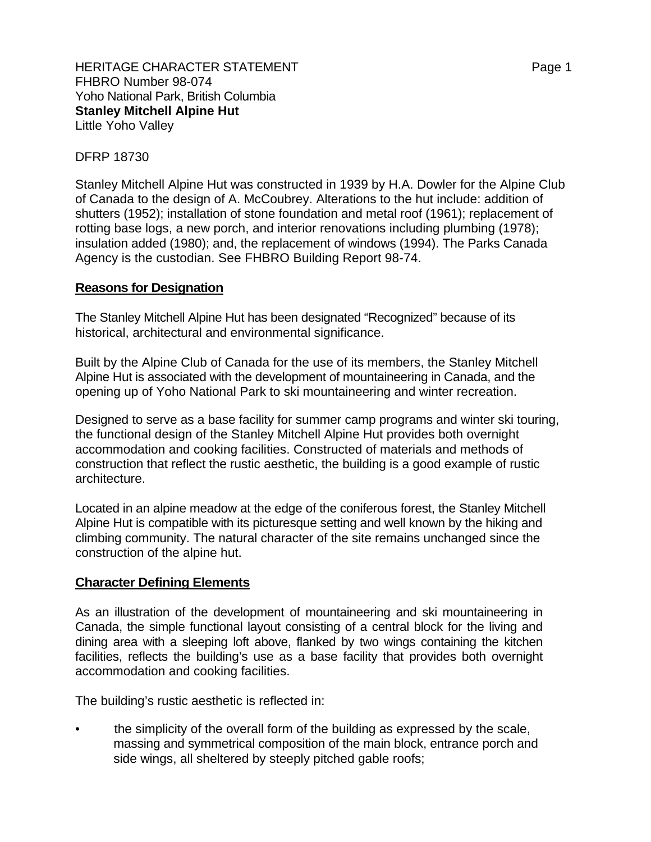## DFRP 18730

Stanley Mitchell Alpine Hut was constructed in 1939 by H.A. Dowler for the Alpine Club of Canada to the design of A. McCoubrey. Alterations to the hut include: addition of shutters (1952); installation of stone foundation and metal roof (1961); replacement of rotting base logs, a new porch, and interior renovations including plumbing (1978); insulation added (1980); and, the replacement of windows (1994). The Parks Canada Agency is the custodian. See FHBRO Building Report 98-74.

## **Reasons for Designation**

The Stanley Mitchell Alpine Hut has been designated "Recognized" because of its historical, architectural and environmental significance.

Built by the Alpine Club of Canada for the use of its members, the Stanley Mitchell Alpine Hut is associated with the development of mountaineering in Canada, and the opening up of Yoho National Park to ski mountaineering and winter recreation.

Designed to serve as a base facility for summer camp programs and winter ski touring, the functional design of the Stanley Mitchell Alpine Hut provides both overnight accommodation and cooking facilities. Constructed of materials and methods of construction that reflect the rustic aesthetic, the building is a good example of rustic architecture.

Located in an alpine meadow at the edge of the coniferous forest, the Stanley Mitchell Alpine Hut is compatible with its picturesque setting and well known by the hiking and climbing community. The natural character of the site remains unchanged since the construction of the alpine hut.

## **Character Defining Elements**

As an illustration of the development of mountaineering and ski mountaineering in Canada, the simple functional layout consisting of a central block for the living and dining area with a sleeping loft above, flanked by two wings containing the kitchen facilities, reflects the building's use as a base facility that provides both overnight accommodation and cooking facilities.

The building's rustic aesthetic is reflected in:

• the simplicity of the overall form of the building as expressed by the scale, massing and symmetrical composition of the main block, entrance porch and side wings, all sheltered by steeply pitched gable roofs;